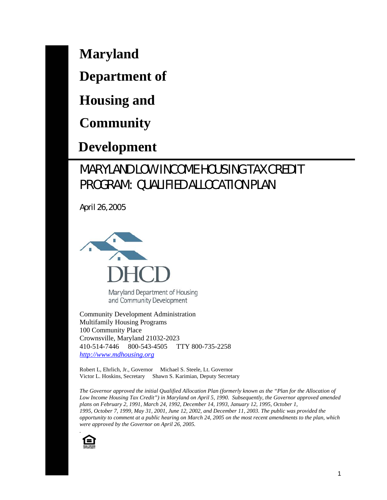**Maryland** 

**Department of** 

**Housing and** 

**Community** 

 **Development** 

# MARYLAND LOW INCOME HOUSING TAX CREDIT PROGRAM: QUALIFIED ALLOCATION PLAN

April 26, 2005



Maryland Department of Housing and Community Development

Community Development Administration Multifamily Housing Programs 100 Community Place Crownsville, Maryland 21032-2023 410-514-7446 800-543-4505 TTY 800-735-2258 *http://www.mdhousing.org*

Robert L, Ehrlich, Jr., Governor Michael S. Steele, Lt. Governor Victor L. Hoskins, Secretary Shawn S. Karimian, Deputy Secretary

*The Governor approved the initial Qualified Allocation Plan (formerly known as the "Plan for the Allocation of Low Income Housing Tax Credit") in Maryland on April 5, 1990. Subsequently, the Governor approved amended plans on February 2, 1991, March 24, 1992, December 14, 1993, January 12, 1995, October 1, 1995, October 7, 1999, May 31, 2001, June 12, 2002, and December 11, 2003. The public was provided the opportunity to comment at a public hearing on March 24, 2005 on the most recent amendments to the plan, which were approved by the Governor on April 26, 2005.* 

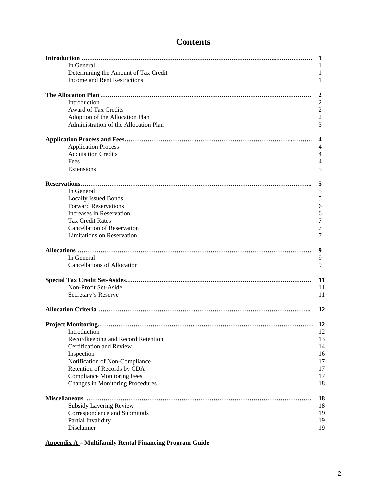|                                       | 1  |
|---------------------------------------|----|
| In General                            |    |
| Determining the Amount of Tax Credit  | 1  |
| <b>Income and Rent Restrictions</b>   | 1  |
|                                       | 2  |
| Introduction                          | 2  |
| Award of Tax Credits                  | 2  |
| Adoption of the Allocation Plan       | 2  |
| Administration of the Allocation Plan | 3  |
|                                       | 4  |
| <b>Application Process</b>            | 4  |
| <b>Acquisition Credits</b>            | 4  |
| <b>Fees</b>                           | 4  |
| Extensions                            | 5  |
|                                       |    |
|                                       | 5  |
| In General                            | 5  |
| <b>Locally Issued Bonds</b>           | 5  |
| <b>Forward Reservations</b>           | 6  |
| Increases in Reservation              | 6  |
| <b>Tax Credit Rates</b>               | 7  |
| <b>Cancellation of Reservation</b>    | 7  |
| <b>Limitations on Reservation</b>     | 7  |
|                                       | 9  |
| In General                            | 9  |
| <b>Cancellations of Allocation</b>    | 9  |
|                                       | 11 |
| Non-Profit Set-Aside                  | 11 |
| Secretary's Reserve                   | 11 |
|                                       | 12 |
|                                       | 12 |
| Introduction                          | 12 |
| Recordkeeping and Record Retention    | 13 |
| Certification and Review              | 14 |
| Inspection                            | 16 |
| Notification of Non-Compliance        | 17 |
| Retention of Records by CDA           | 17 |
| <b>Compliance Monitoring Fees</b>     | 17 |
| Changes in Monitoring Procedures      | 18 |
|                                       | 18 |
| <b>Subsidy Layering Review</b>        | 18 |
|                                       | 19 |
| Correspondence and Submittals         |    |
| Partial Invalidity                    | 19 |
| Disclaimer                            | 19 |

**Appendix A – Multifamily Rental Financing Program Guide**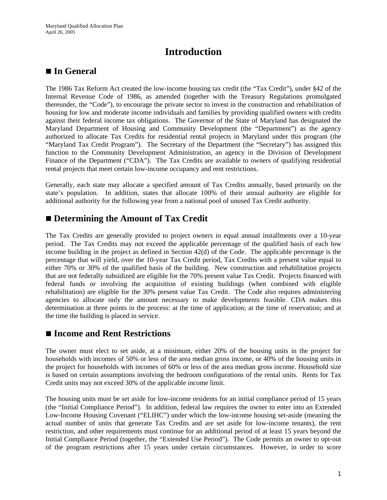### **Introduction**

### ■ In General

The 1986 Tax Reform Act created the low-income housing tax credit (the "Tax Credit"), under §42 of the Internal Revenue Code of 1986, as amended (together with the Treasury Regulations promulgated thereunder, the "Code"), to encourage the private sector to invest in the construction and rehabilitation of housing for low and moderate income individuals and families by providing qualified owners with credits against their federal income tax obligations. The Governor of the State of Maryland has designated the Maryland Department of Housing and Community Development (the "Department") as the agency authorized to allocate Tax Credits for residential rental projects in Maryland under this program (the "Maryland Tax Credit Program"). The Secretary of the Department (the "Secretary") has assigned this function to the Community Development Administration, an agency in the Division of Development Finance of the Department ("CDA"). The Tax Credits are available to owners of qualifying residential rental projects that meet certain low-income occupancy and rent restrictions.

Generally, each state may allocate a specified amount of Tax Credits annually, based primarily on the state's population. In addition, states that allocate 100% of their annual authority are eligible for additional authority for the following year from a national pool of unused Tax Credit authority.

#### **Determining the Amount of Tax Credit**

The Tax Credits are generally provided to project owners in equal annual installments over a 10-year period. The Tax Credits may not exceed the applicable percentage of the qualified basis of each low income building in the project as defined in Section 42(d) of the Code. The applicable percentage is the percentage that will yield, over the 10-year Tax Credit period, Tax Credits with a present value equal to either 70% or 30% of the qualified basis of the building. New construction and rehabilitation projects that are not federally subsidized are eligible for the 70% present value Tax Credit. Projects financed with federal funds or involving the acquisition of existing buildings (when combined with eligible rehabilitation) are eligible for the 30% present value Tax Credit. The Code also requires administering agencies to allocate only the amount necessary to make developments feasible. CDA makes this determination at three points in the process: at the time of application; at the time of reservation; and at the time the building is placed in service.

#### ■ Income and Rent Restrictions

The owner must elect to set aside, at a minimum, either 20% of the housing units in the project for households with incomes of 50% or less of the area median gross income, or 40% of the housing units in the project for households with incomes of 60% or less of the area median gross income. Household size is based on certain assumptions involving the bedroom configurations of the rental units. Rents for Tax Credit units may not exceed 30% of the applicable income limit.

The housing units must be set aside for low-income residents for an initial compliance period of 15 years (the "Initial Compliance Period"). In addition, federal law requires the owner to enter into an Extended Low-Income Housing Covenant ("ELIHC") under which the low-income housing set-aside (meaning the actual number of units that generate Tax Credits and are set aside for low-income tenants), the rent restriction, and other requirements must continue for an additional period of at least 15 years beyond the Initial Compliance Period (together, the "Extended Use Period"). The Code permits an owner to opt-out of the program restrictions after 15 years under certain circumstances. However, in order to score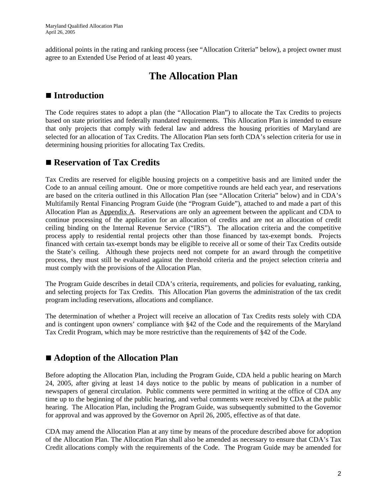additional points in the rating and ranking process (see "Allocation Criteria" below), a project owner must agree to an Extended Use Period of at least 40 years.

### **The Allocation Plan**

#### ■ **Introduction**

The Code requires states to adopt a plan (the "Allocation Plan") to allocate the Tax Credits to projects based on state priorities and federally mandated requirements. This Allocation Plan is intended to ensure that only projects that comply with federal law and address the housing priorities of Maryland are selected for an allocation of Tax Credits. The Allocation Plan sets forth CDA's selection criteria for use in determining housing priorities for allocating Tax Credits.

#### ■ Reservation of Tax Credits

Tax Credits are reserved for eligible housing projects on a competitive basis and are limited under the Code to an annual ceiling amount. One or more competitive rounds are held each year, and reservations are based on the criteria outlined in this Allocation Plan (see "Allocation Criteria" below) and in CDA's Multifamily Rental Financing Program Guide (the "Program Guide"), attached to and made a part of this Allocation Plan as Appendix A. Reservations are only an agreement between the applicant and CDA to continue processing of the application for an allocation of credits and are not an allocation of credit ceiling binding on the Internal Revenue Service ("IRS"). The allocation criteria and the competitive process apply to residential rental projects other than those financed by tax-exempt bonds. Projects financed with certain tax-exempt bonds may be eligible to receive all or some of their Tax Credits outside the State's ceiling. Although these projects need not compete for an award through the competitive process, they must still be evaluated against the threshold criteria and the project selection criteria and must comply with the provisions of the Allocation Plan.

The Program Guide describes in detail CDA's criteria, requirements, and policies for evaluating, ranking, and selecting projects for Tax Credits. This Allocation Plan governs the administration of the tax credit program including reservations, allocations and compliance.

The determination of whether a Project will receive an allocation of Tax Credits rests solely with CDA and is contingent upon owners' compliance with §42 of the Code and the requirements of the Maryland Tax Credit Program, which may be more restrictive than the requirements of §42 of the Code.

#### **Adoption of the Allocation Plan**

Before adopting the Allocation Plan, including the Program Guide, CDA held a public hearing on March 24, 2005, after giving at least 14 days notice to the public by means of publication in a number of newspapers of general circulation. Public comments were permitted in writing at the office of CDA any time up to the beginning of the public hearing, and verbal comments were received by CDA at the public hearing. The Allocation Plan, including the Program Guide, was subsequently submitted to the Governor for approval and was approved by the Governor on April 26, 2005, effective as of that date.

CDA may amend the Allocation Plan at any time by means of the procedure described above for adoption of the Allocation Plan. The Allocation Plan shall also be amended as necessary to ensure that CDA's Tax Credit allocations comply with the requirements of the Code. The Program Guide may be amended for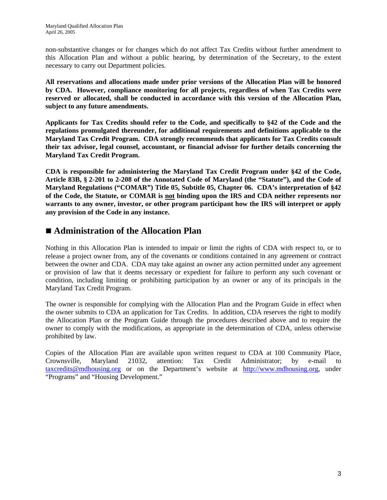non-substantive changes or for changes which do not affect Tax Credits without further amendment to this Allocation Plan and without a public hearing, by determination of the Secretary, to the extent necessary to carry out Department policies.

**All reservations and allocations made under prior versions of the Allocation Plan will be honored by CDA. However, compliance monitoring for all projects, regardless of when Tax Credits were reserved or allocated, shall be conducted in accordance with this version of the Allocation Plan, subject to any future amendments.** 

**Applicants for Tax Credits should refer to the Code, and specifically to §42 of the Code and the regulations promulgated thereunder, for additional requirements and definitions applicable to the Maryland Tax Credit Program. CDA strongly recommends that applicants for Tax Credits consult their tax advisor, legal counsel, accountant, or financial advisor for further details concerning the Maryland Tax Credit Program.** 

**CDA is responsible for administering the Maryland Tax Credit Program under §42 of the Code, Article 83B, § 2-201 to 2-208 of the Annotated Code of Maryland (the "Statute"), and the Code of Maryland Regulations ("COMAR") Title 05, Subtitle 05, Chapter 06. CDA's interpretation of §42 of the Code, the Statute, or COMAR is not binding upon the IRS and CDA neither represents nor warrants to any owner, investor, or other program participant how the IRS will interpret or apply any provision of the Code in any instance.** 

#### **Administration of the Allocation Plan**

Nothing in this Allocation Plan is intended to impair or limit the rights of CDA with respect to, or to release a project owner from, any of the covenants or conditions contained in any agreement or contract between the owner and CDA. CDA may take against an owner any action permitted under any agreement or provision of law that it deems necessary or expedient for failure to perform any such covenant or condition, including limiting or prohibiting participation by an owner or any of its principals in the Maryland Tax Credit Program.

The owner is responsible for complying with the Allocation Plan and the Program Guide in effect when the owner submits to CDA an application for Tax Credits. In addition, CDA reserves the right to modify the Allocation Plan or the Program Guide through the procedures described above and to require the owner to comply with the modifications, as appropriate in the determination of CDA, unless otherwise prohibited by law.

Copies of the Allocation Plan are available upon written request to CDA at 100 Community Place, Crownsville, Maryland 21032, attention: Tax Credit Administrator; by e-mail to taxcredits@mdhousing.org or on the Department's website at http://www.mdhousing.org, under "Programs" and "Housing Development."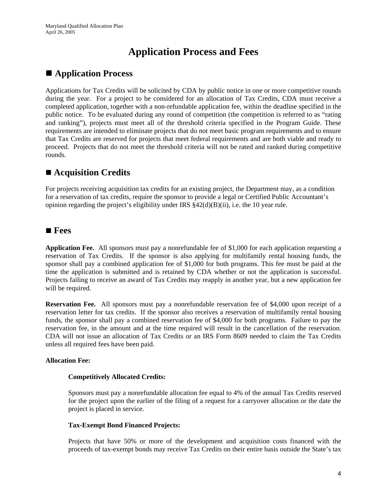## **Application Process and Fees**

#### **Application Process**

Applications for Tax Credits will be solicited by CDA by public notice in one or more competitive rounds during the year. For a project to be considered for an allocation of Tax Credits, CDA must receive a completed application, together with a non-refundable application fee, within the deadline specified in the public notice. To be evaluated during any round of competition (the competition is referred to as "rating and ranking"), projects must meet all of the threshold criteria specified in the Program Guide. These requirements are intended to eliminate projects that do not meet basic program requirements and to ensure that Tax Credits are reserved for projects that meet federal requirements and are both viable and ready to proceed. Projects that do not meet the threshold criteria will not be rated and ranked during competitive rounds.

### ■ **Acquisition Credits**

For projects receiving acquisition tax credits for an existing project, the Department may, as a condition for a reservation of tax credits, require the sponsor to provide a legal or Certified Public Accountant's opinion regarding the project's eligibility under IRS  $\S 42(d)(B)(ii)$ , i.e. the 10 year rule.

#### **Fees**

**Application Fee.** All sponsors must pay a nonrefundable fee of \$1,000 for each application requesting a reservation of Tax Credits. If the sponsor is also applying for multifamily rental housing funds, the sponsor shall pay a combined application fee of \$1,000 for both programs. This fee must be paid at the time the application is submitted and is retained by CDA whether or not the application is successful. Projects failing to receive an award of Tax Credits may reapply in another year, but a new application fee will be required.

**Reservation Fee.** All sponsors must pay a nonrefundable reservation fee of \$4,000 upon receipt of a reservation letter for tax credits. If the sponsor also receives a reservation of multifamily rental housing funds, the sponsor shall pay a combined reservation fee of \$4,000 for both programs. Failure to pay the reservation fee, in the amount and at the time required will result in the cancellation of the reservation. CDA will not issue an allocation of Tax Credits or an IRS Form 8609 needed to claim the Tax Credits unless all required fees have been paid.

#### **Allocation Fee:**

#### **Competitively Allocated Credits:**

Sponsors must pay a nonrefundable allocation fee equal to 4% of the annual Tax Credits reserved for the project upon the earlier of the filing of a request for a carryover allocation or the date the project is placed in service.

#### **Tax-Exempt Bond Financed Projects:**

Projects that have 50% or more of the development and acquisition costs financed with the proceeds of tax-exempt bonds may receive Tax Credits on their entire basis outside the State's tax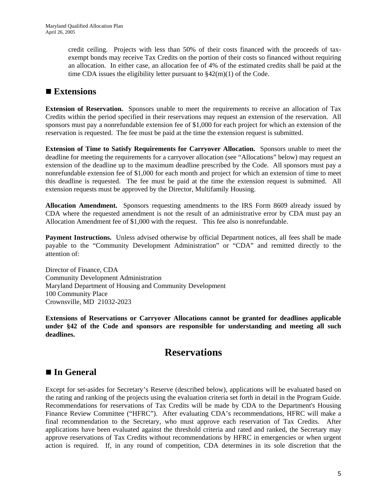credit ceiling. Projects with less than 50% of their costs financed with the proceeds of taxexempt bonds may receive Tax Credits on the portion of their costs so financed without requiring an allocation. In either case, an allocation fee of 4% of the estimated credits shall be paid at the time CDA issues the eligibility letter pursuant to  $\frac{242(m)(1)}{1}$  of the Code.

#### **Extensions**

**Extension of Reservation.** Sponsors unable to meet the requirements to receive an allocation of Tax Credits within the period specified in their reservations may request an extension of the reservation. All sponsors must pay a nonrefundable extension fee of \$1,000 for each project for which an extension of the reservation is requested. The fee must be paid at the time the extension request is submitted.

**Extension of Time to Satisfy Requirements for Carryover Allocation.** Sponsors unable to meet the deadline for meeting the requirements for a carryover allocation (see "Allocations" below) may request an extension of the deadline up to the maximum deadline prescribed by the Code. All sponsors must pay a nonrefundable extension fee of \$1,000 for each month and project for which an extension of time to meet this deadline is requested. The fee must be paid at the time the extension request is submitted. All extension requests must be approved by the Director, Multifamily Housing.

**Allocation Amendment.** Sponsors requesting amendments to the IRS Form 8609 already issued by CDA where the requested amendment is not the result of an administrative error by CDA must pay an Allocation Amendment fee of \$1,000 with the request. This fee also is nonrefundable.

**Payment Instructions.** Unless advised otherwise by official Department notices, all fees shall be made payable to the "Community Development Administration" or "CDA" and remitted directly to the attention of:

Director of Finance, CDA Community Development Administration Maryland Department of Housing and Community Development 100 Community Place Crownsville, MD 21032-2023

**Extensions of Reservations or Carryover Allocations cannot be granted for deadlines applicable under §42 of the Code and sponsors are responsible for understanding and meeting all such deadlines.**

### **Reservations**

#### ■ In General

Except for set-asides for Secretary's Reserve (described below), applications will be evaluated based on the rating and ranking of the projects using the evaluation criteria set forth in detail in the Program Guide. Recommendations for reservations of Tax Credits will be made by CDA to the Department's Housing Finance Review Committee ("HFRC"). After evaluating CDA's recommendations, HFRC will make a final recommendation to the Secretary, who must approve each reservation of Tax Credits. After applications have been evaluated against the threshold criteria and rated and ranked, the Secretary may approve reservations of Tax Credits without recommendations by HFRC in emergencies or when urgent action is required. If, in any round of competition, CDA determines in its sole discretion that the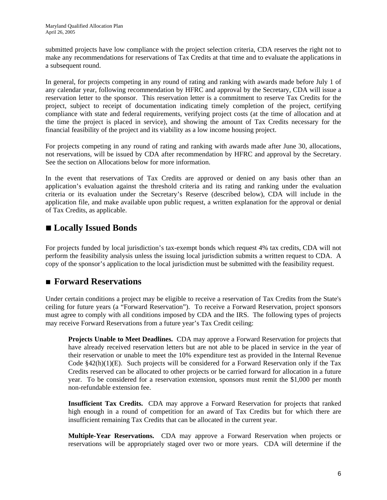submitted projects have low compliance with the project selection criteria, CDA reserves the right not to make any recommendations for reservations of Tax Credits at that time and to evaluate the applications in a subsequent round.

In general, for projects competing in any round of rating and ranking with awards made before July 1 of any calendar year, following recommendation by HFRC and approval by the Secretary, CDA will issue a reservation letter to the sponsor. This reservation letter is a commitment to reserve Tax Credits for the project, subject to receipt of documentation indicating timely completion of the project, certifying compliance with state and federal requirements, verifying project costs (at the time of allocation and at the time the project is placed in service), and showing the amount of Tax Credits necessary for the financial feasibility of the project and its viability as a low income housing project.

For projects competing in any round of rating and ranking with awards made after June 30, allocations, not reservations, will be issued by CDA after recommendation by HFRC and approval by the Secretary. See the section on Allocations below for more information.

In the event that reservations of Tax Credits are approved or denied on any basis other than an application's evaluation against the threshold criteria and its rating and ranking under the evaluation criteria or its evaluation under the Secretary's Reserve (described below), CDA will include in the application file, and make available upon public request, a written explanation for the approval or denial of Tax Credits, as applicable.

### **Locally Issued Bonds**

For projects funded by local jurisdiction's tax-exempt bonds which request 4% tax credits, CDA will not perform the feasibility analysis unless the issuing local jurisdiction submits a written request to CDA. A copy of the sponsor's application to the local jurisdiction must be submitted with the feasibility request.

#### **Forward Reservations**

Under certain conditions a project may be eligible to receive a reservation of Tax Credits from the State's ceiling for future years (a "Forward Reservation"). To receive a Forward Reservation, project sponsors must agree to comply with all conditions imposed by CDA and the IRS. The following types of projects may receive Forward Reservations from a future year's Tax Credit ceiling:

**Projects Unable to Meet Deadlines.** CDA may approve a Forward Reservation for projects that have already received reservation letters but are not able to be placed in service in the year of their reservation or unable to meet the 10% expenditure test as provided in the Internal Revenue Code  $§42(h)(1)(E)$ . Such projects will be considered for a Forward Reservation only if the Tax Credits reserved can be allocated to other projects or be carried forward for allocation in a future year. To be considered for a reservation extension, sponsors must remit the \$1,000 per month non-refundable extension fee.

**Insufficient Tax Credits.** CDA may approve a Forward Reservation for projects that ranked high enough in a round of competition for an award of Tax Credits but for which there are insufficient remaining Tax Credits that can be allocated in the current year.

**Multiple-Year Reservations.** CDA may approve a Forward Reservation when projects or reservations will be appropriately staged over two or more years. CDA will determine if the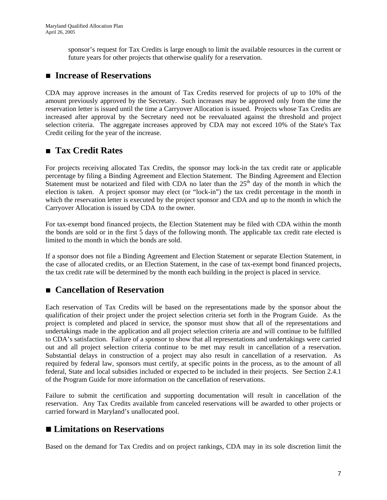sponsor's request for Tax Credits is large enough to limit the available resources in the current or future years for other projects that otherwise qualify for a reservation.

#### ■ Increase of Reservations

CDA may approve increases in the amount of Tax Credits reserved for projects of up to 10% of the amount previously approved by the Secretary. Such increases may be approved only from the time the reservation letter is issued until the time a Carryover Allocation is issued. Projects whose Tax Credits are increased after approval by the Secretary need not be reevaluated against the threshold and project selection criteria. The aggregate increases approved by CDA may not exceed 10% of the State's Tax Credit ceiling for the year of the increase.

#### **Tax Credit Rates**

For projects receiving allocated Tax Credits, the sponsor may lock-in the tax credit rate or applicable percentage by filing a Binding Agreement and Election Statement. The Binding Agreement and Election Statement must be notarized and filed with CDA no later than the  $25<sup>th</sup>$  day of the month in which the election is taken. A project sponsor may elect (or "lock-in") the tax credit percentage in the month in which the reservation letter is executed by the project sponsor and CDA and up to the month in which the Carryover Allocation is issued by CDA to the owner.

For tax-exempt bond financed projects, the Election Statement may be filed with CDA within the month the bonds are sold or in the first 5 days of the following month. The applicable tax credit rate elected is limited to the month in which the bonds are sold.

If a sponsor does not file a Binding Agreement and Election Statement or separate Election Statement, in the case of allocated credits, or an Election Statement, in the case of tax-exempt bond financed projects, the tax credit rate will be determined by the month each building in the project is placed in service.

#### **Cancellation of Reservation**

Each reservation of Tax Credits will be based on the representations made by the sponsor about the qualification of their project under the project selection criteria set forth in the Program Guide. As the project is completed and placed in service, the sponsor must show that all of the representations and undertakings made in the application and all project selection criteria are and will continue to be fulfilled to CDA's satisfaction. Failure of a sponsor to show that all representations and undertakings were carried out and all project selection criteria continue to be met may result in cancellation of a reservation. Substantial delays in construction of a project may also result in cancellation of a reservation. As required by federal law, sponsors must certify, at specific points in the process, as to the amount of all federal, State and local subsidies included or expected to be included in their projects. See Section 2.4.1 of the Program Guide for more information on the cancellation of reservations.

Failure to submit the certification and supporting documentation will result in cancellation of the reservation. Any Tax Credits available from canceled reservations will be awarded to other projects or carried forward in Maryland's unallocated pool.

#### ■ Limitations on Reservations

Based on the demand for Tax Credits and on project rankings, CDA may in its sole discretion limit the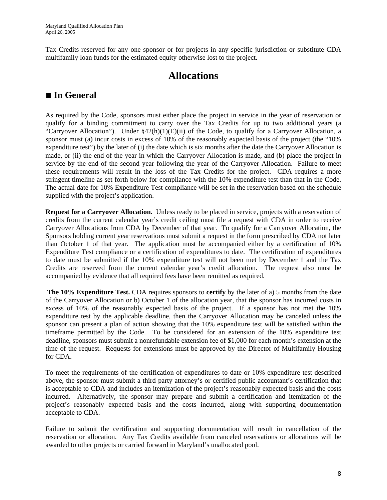Tax Credits reserved for any one sponsor or for projects in any specific jurisdiction or substitute CDA multifamily loan funds for the estimated equity otherwise lost to the project.

## **Allocations**

### ■ In General

As required by the Code, sponsors must either place the project in service in the year of reservation or qualify for a binding commitment to carry over the Tax Credits for up to two additional years (a "Carryover Allocation"). Under  $\S42(h)(1)(E)(ii)$  of the Code, to qualify for a Carryover Allocation, a sponsor must (a) incur costs in excess of 10% of the reasonably expected basis of the project (the "10% expenditure test") by the later of (i) the date which is six months after the date the Carryover Allocation is made, or (ii) the end of the year in which the Carryover Allocation is made, and (b) place the project in service by the end of the second year following the year of the Carryover Allocation. Failure to meet these requirements will result in the loss of the Tax Credits for the project. CDA requires a more stringent timeline as set forth below for compliance with the 10% expenditure test than that in the Code. The actual date for 10% Expenditure Test compliance will be set in the reservation based on the schedule supplied with the project's application.

**Request for a Carryover Allocation.** Unless ready to be placed in service, projects with a reservation of credits from the current calendar year's credit ceiling must file a request with CDA in order to receive Carryover Allocations from CDA by December of that year. To qualify for a Carryover Allocation, the Sponsors holding current year reservations must submit a request in the form prescribed by CDA not later than October 1 of that year. The application must be accompanied either by a certification of 10% Expenditure Test compliance or a certification of expenditures to date. The certification of expenditures to date must be submitted if the 10% expenditure test will not been met by December 1 and the Tax Credits are reserved from the current calendar year's credit allocation. The request also must be accompanied by evidence that all required fees have been remitted as required.

**The 10% Expenditure Test.** CDA requires sponsors to **certify** by the later of a) 5 months from the date of the Carryover Allocation or b) October 1 of the allocation year, that the sponsor has incurred costs in excess of 10% of the reasonably expected basis of the project. If a sponsor has not met the 10% expenditure test by the applicable deadline, then the Carryover Allocation may be canceled unless the sponsor can present a plan of action showing that the 10% expenditure test will be satisfied within the timeframe permitted by the Code. To be considered for an extension of the 10% expenditure test deadline, sponsors must submit a nonrefundable extension fee of \$1,000 for each month's extension at the time of the request. Requests for extensions must be approved by the Director of Multifamily Housing for CDA.

To meet the requirements of the certification of expenditures to date or 10% expenditure test described above, the sponsor must submit a third-party attorney's or certified public accountant's certification that is acceptable to CDA and includes an itemization of the project's reasonably expected basis and the costs incurred. Alternatively, the sponsor may prepare and submit a certification and itemization of the project's reasonably expected basis and the costs incurred, along with supporting documentation acceptable to CDA.

Failure to submit the certification and supporting documentation will result in cancellation of the reservation or allocation. Any Tax Credits available from canceled reservations or allocations will be awarded to other projects or carried forward in Maryland's unallocated pool.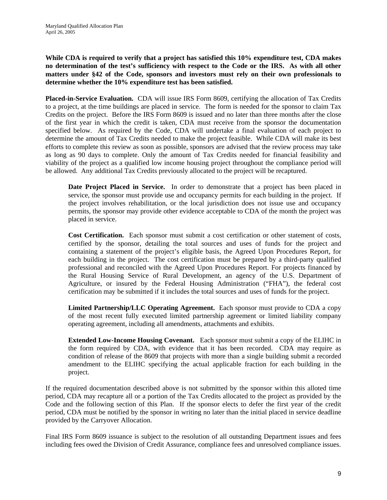#### **While CDA is required to verify that a project has satisfied this 10% expenditure test, CDA makes no determination of the test's sufficiency with respect to the Code or the IRS. As with all other matters under §42 of the Code, sponsors and investors must rely on their own professionals to determine whether the 10% expenditure test has been satisfied.**

**Placed-in-Service Evaluation.** CDA will issue IRS Form 8609, certifying the allocation of Tax Credits to a project, at the time buildings are placed in service. The form is needed for the sponsor to claim Tax Credits on the project. Before the IRS Form 8609 is issued and no later than three months after the close of the first year in which the credit is taken, CDA must receive from the sponsor the documentation specified below. As required by the Code, CDA will undertake a final evaluation of each project to determine the amount of Tax Credits needed to make the project feasible. While CDA will make its best efforts to complete this review as soon as possible, sponsors are advised that the review process may take as long as 90 days to complete. Only the amount of Tax Credits needed for financial feasibility and viability of the project as a qualified low income housing project throughout the compliance period will be allowed. Any additional Tax Credits previously allocated to the project will be recaptured.

**Date Project Placed in Service.** In order to demonstrate that a project has been placed in service, the sponsor must provide use and occupancy permits for each building in the project. If the project involves rehabilitation, or the local jurisdiction does not issue use and occupancy permits, the sponsor may provide other evidence acceptable to CDA of the month the project was placed in service.

**Cost Certification.** Each sponsor must submit a cost certification or other statement of costs, certified by the sponsor, detailing the total sources and uses of funds for the project and containing a statement of the project's eligible basis, the Agreed Upon Procedures Report, for each building in the project. The cost certification must be prepared by a third-party qualified professional and reconciled with the Agreed Upon Procedures Report. For projects financed by the Rural Housing Service of Rural Development, an agency of the U.S. Department of Agriculture, or insured by the Federal Housing Administration ("FHA"), the federal cost certification may be submitted if it includes the total sources and uses of funds for the project.

**Limited Partnership/LLC Operating Agreement.** Each sponsor must provide to CDA a copy of the most recent fully executed limited partnership agreement or limited liability company operating agreement, including all amendments, attachments and exhibits.

**Extended Low-Income Housing Covenant.** Each sponsor must submit a copy of the ELIHC in the form required by CDA, with evidence that it has been recorded. CDA may require as condition of release of the 8609 that projects with more than a single building submit a recorded amendment to the ELIHC specifying the actual applicable fraction for each building in the project.

If the required documentation described above is not submitted by the sponsor within this alloted time period, CDA may recapture all or a portion of the Tax Credits allocated to the project as provided by the Code and the following section of this Plan. If the sponsor elects to defer the first year of the credit period, CDA must be notified by the sponsor in writing no later than the initial placed in service deadline provided by the Carryover Allocation.

Final IRS Form 8609 issuance is subject to the resolution of all outstanding Department issues and fees including fees owed the Division of Credit Assurance, compliance fees and unresolved compliance issues.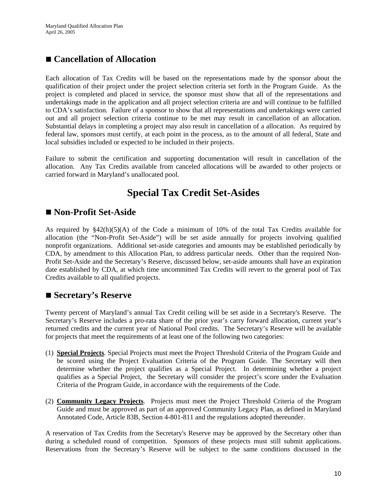#### **Cancellation of Allocation**

Each allocation of Tax Credits will be based on the representations made by the sponsor about the qualification of their project under the project selection criteria set forth in the Program Guide. As the project is completed and placed in service, the sponsor must show that all of the representations and undertakings made in the application and all project selection criteria are and will continue to be fulfilled to CDA's satisfaction. Failure of a sponsor to show that all representations and undertakings were carried out and all project selection criteria continue to be met may result in cancellation of an allocation. Substantial delays in completing a project may also result in cancellation of a allocation. As required by federal law, sponsors must certify, at each point in the process, as to the amount of all federal, State and local subsidies included or expected to be included in their projects.

Failure to submit the certification and supporting documentation will result in cancellation of the allocation. Any Tax Credits available from canceled allocations will be awarded to other projects or carried forward in Maryland's unallocated pool.

## **Special Tax Credit Set-Asides**

#### **Non-Profit Set-Aside**

As required by §42(h)(5)(A) of the Code a minimum of 10% of the total Tax Credits available for allocation (the "Non-Profit Set-Aside") will be set aside annually for projects involving qualified nonprofit organizations. Additional set-aside categories and amounts may be established periodically by CDA, by amendment to this Allocation Plan, to address particular needs. Other than the required Non-Profit Set-Aside and the Secretary's Reserve, discussed below, set-aside amounts shall have an expiration date established by CDA, at which time uncommitted Tax Credits will revert to the general pool of Tax Credits available to all qualified projects.

#### ■ Secretary's Reserve

Twenty percent of Maryland's annual Tax Credit ceiling will be set aside in a Secretary's Reserve. The Secretary's Reserve includes a pro-rata share of the prior year's carry forward allocation, current year's returned credits and the current year of National Pool credits. The Secretary's Reserve will be available for projects that meet the requirements of at least one of the following two categories:

- (1) **Special Projects**. Special Projects must meet the Project Threshold Criteria of the Program Guide and be scored using the Project Evaluation Criteria of the Program Guide. The Secretary will then determine whether the project qualifies as a Special Project. In determining whether a project qualifies as a Special Project, the Secretary will consider the project's score under the Evaluation Criteria of the Program Guide, in accordance with the requirements of the Code.
- (2) **Community Legacy Projects**. Projects must meet the Project Threshold Criteria of the Program Guide and must be approved as part of an approved Community Legacy Plan, as defined in Maryland Annotated Code, Article 83B, Section 4-801-811 and the regulations adopted thereunder.

A reservation of Tax Credits from the Secretary's Reserve may be approved by the Secretary other than during a scheduled round of competition. Sponsors of these projects must still submit applications. Reservations from the Secretary's Reserve will be subject to the same conditions discussed in the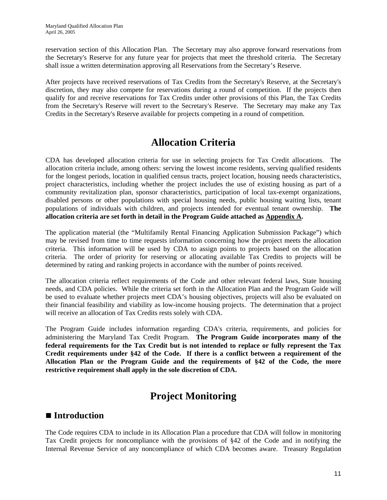reservation section of this Allocation Plan. The Secretary may also approve forward reservations from the Secretary's Reserve for any future year for projects that meet the threshold criteria. The Secretary shall issue a written determination approving all Reservations from the Secretary's Reserve.

After projects have received reservations of Tax Credits from the Secretary's Reserve, at the Secretary's discretion, they may also compete for reservations during a round of competition. If the projects then qualify for and receive reservations for Tax Credits under other provisions of this Plan, the Tax Credits from the Secretary's Reserve will revert to the Secretary's Reserve. The Secretary may make any Tax Credits in the Secretary's Reserve available for projects competing in a round of competition.

## **Allocation Criteria**

CDA has developed allocation criteria for use in selecting projects for Tax Credit allocations. The allocation criteria include, among others: serving the lowest income residents, serving qualified residents for the longest periods, location in qualified census tracts, project location, housing needs characteristics, project characteristics, including whether the project includes the use of existing housing as part of a community revitalization plan, sponsor characteristics, participation of local tax-exempt organizations, disabled persons or other populations with special housing needs, public housing waiting lists, tenant populations of individuals with children, and projects intended for eventual tenant ownership. **The allocation criteria are set forth in detail in the Program Guide attached as Appendix A.**

The application material (the "Multifamily Rental Financing Application Submission Package") which may be revised from time to time requests information concerning how the project meets the allocation criteria. This information will be used by CDA to assign points to projects based on the allocation criteria. The order of priority for reserving or allocating available Tax Credits to projects will be determined by rating and ranking projects in accordance with the number of points received.

The allocation criteria reflect requirements of the Code and other relevant federal laws, State housing needs, and CDA policies. While the criteria set forth in the Allocation Plan and the Program Guide will be used to evaluate whether projects meet CDA's housing objectives, projects will also be evaluated on their financial feasibility and viability as low-income housing projects. The determination that a project will receive an allocation of Tax Credits rests solely with CDA.

The Program Guide includes information regarding CDA's criteria, requirements, and policies for administering the Maryland Tax Credit Program. **The Program Guide incorporates many of the federal requirements for the Tax Credit but is not intended to replace or fully represent the Tax Credit requirements under §42 of the Code. If there is a conflict between a requirement of the Allocation Plan or the Program Guide and the requirements of §42 of the Code, the more restrictive requirement shall apply in the sole discretion of CDA.**

## **Project Monitoring**

#### ■ **Introduction**

The Code requires CDA to include in its Allocation Plan a procedure that CDA will follow in monitoring Tax Credit projects for noncompliance with the provisions of §42 of the Code and in notifying the Internal Revenue Service of any noncompliance of which CDA becomes aware. Treasury Regulation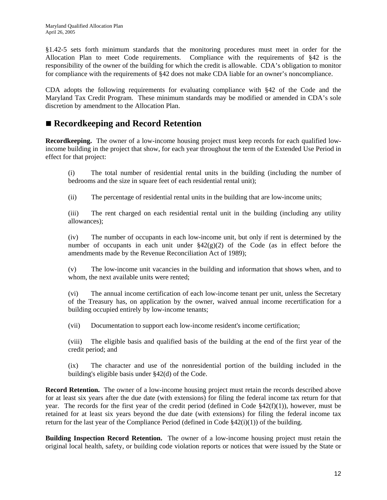§1.42-5 sets forth minimum standards that the monitoring procedures must meet in order for the Allocation Plan to meet Code requirements. Compliance with the requirements of §42 is the responsibility of the owner of the building for which the credit is allowable. CDA's obligation to monitor for compliance with the requirements of §42 does not make CDA liable for an owner's noncompliance.

CDA adopts the following requirements for evaluating compliance with §42 of the Code and the Maryland Tax Credit Program. These minimum standards may be modified or amended in CDA's sole discretion by amendment to the Allocation Plan.

#### ■ Recordkeeping and Record Retention

**Recordkeeping.** The owner of a low-income housing project must keep records for each qualified lowincome building in the project that show, for each year throughout the term of the Extended Use Period in effect for that project:

(i) The total number of residential rental units in the building (including the number of bedrooms and the size in square feet of each residential rental unit);

(ii) The percentage of residential rental units in the building that are low-income units;

(iii) The rent charged on each residential rental unit in the building (including any utility allowances);

(iv) The number of occupants in each low-income unit, but only if rent is determined by the number of occupants in each unit under  $\S42(g)(2)$  of the Code (as in effect before the amendments made by the Revenue Reconciliation Act of 1989);

(v) The low-income unit vacancies in the building and information that shows when, and to whom, the next available units were rented;

(vi) The annual income certification of each low-income tenant per unit, unless the Secretary of the Treasury has, on application by the owner, waived annual income recertification for a building occupied entirely by low-income tenants;

(vii) Documentation to support each low-income resident's income certification;

(viii) The eligible basis and qualified basis of the building at the end of the first year of the credit period; and

(ix) The character and use of the nonresidential portion of the building included in the building's eligible basis under §42(d) of the Code.

**Record Retention.** The owner of a low-income housing project must retain the records described above for at least six years after the due date (with extensions) for filing the federal income tax return for that year. The records for the first year of the credit period (defined in Code §42(f)(1)), however, must be retained for at least six years beyond the due date (with extensions) for filing the federal income tax return for the last year of the Compliance Period (defined in Code  $\S$ 42(i)(1)) of the building.

**Building Inspection Record Retention.** The owner of a low-income housing project must retain the original local health, safety, or building code violation reports or notices that were issued by the State or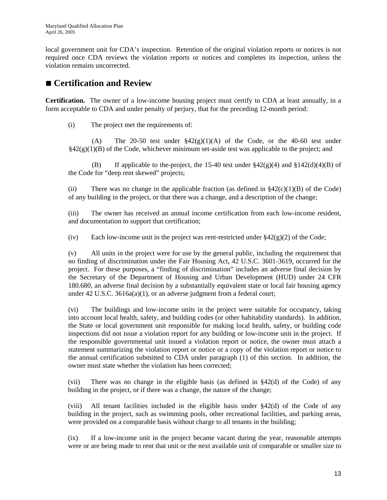local government unit for CDA's inspection. Retention of the original violation reports or notices is not required once CDA reviews the violation reports or notices and completes its inspection, unless the violation remains uncorrected.

#### ■ Certification and Review

**Certification.** The owner of a low-income housing project must certify to CDA at least annually, in a form acceptable to CDA and under penalty of perjury, that for the preceding 12-month period:

(i) The project met the requirements of:

(A) The 20-50 test under  $$42(g)(1)(A)$  of the Code, or the 40-60 test under  $§42(g)(1)(B)$  of the Code, whichever minimum set-aside test was applicable to the project; and

(B) If applicable to the-project, the 15-40 test under  $\frac{242(g)(4)}{g}$  and  $\frac{142(d)(4)(B)}{g}$  of the Code for "deep rent skewed" projects;

(ii) There was no change in the applicable fraction (as defined in  $\S42(c)(1)(B)$  of the Code) of any building in the project, or that there was a change, and a description of the change;

(iii) The owner has received an annual income certification from each low-income resident, and documentation to support that certification;

(iv) Each low-income unit in the project was rent-restricted under  $\frac{842(g)(2)}{2}$  of the Code;

 (v) All units in the project were for use by the general public, including the requirement that no finding of discrimination under the Fair Housing Act, 42 U.S.C. 3601-3619, occurred for the project. For these purposes, a "finding of discrimination" includes an adverse final decision by the Secretary of the Department of Housing and Urban Development (HUD) under 24 CFR 180.680, an adverse final decision by a substantially equivalent state or local fair housing agency under 42 U.S.C. 3616a(a)(1), or an adverse judgment from a federal court;

 (vi) The buildings and low-income units in the project were suitable for occupancy, taking into account local health, safety, and building codes (or other habitability standards). In addition, the State or local government unit responsible for making local health, safety, or building code inspections did not issue a violation report for any building or low-income unit in the project. If the responsible governmental unit issued a violation report or notice, the owner must attach a statement summarizing the violation report or notice or a copy of the violation report or notice to the annual certification submitted to CDA under paragraph (1) of this section. In addition, the owner must state whether the violation has been corrected;

(vii) There was no change in the eligible basis (as defined in §42(d) of the Code) of any building in the project, or if there was a change, the nature of the change;

(viii) All tenant facilities included in the eligible basis under §42(d) of the Code of any building in the project, such as swimming pools, other recreational facilities, and parking areas, were provided on a comparable basis without charge to all tenants in the building;

(ix) If a low-income unit in the project became vacant during the year, reasonable attempts were or are being made to rent that unit or the next available unit of comparable or smaller size to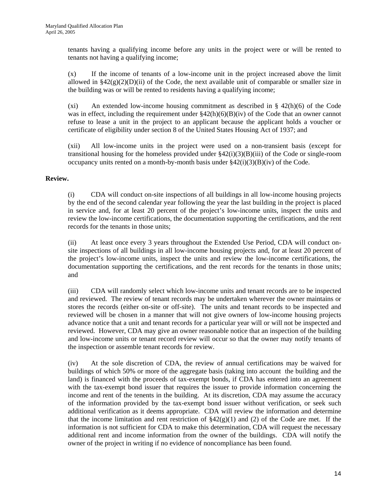tenants having a qualifying income before any units in the project were or will be rented to tenants not having a qualifying income;

(x) If the income of tenants of a low-income unit in the project increased above the limit allowed in  $\S42(g)(2)(D)(ii)$  of the Code, the next available unit of comparable or smaller size in the building was or will be rented to residents having a qualifying income;

(xi) An extended low-income housing commitment as described in  $\S$  42(h)(6) of the Code was in effect, including the requirement under  $\frac{842(h)(6)(B)(iv)}{2}$  of the Code that an owner cannot refuse to lease a unit in the project to an applicant because the applicant holds a voucher or certificate of eligibility under section 8 of the United States Housing Act of 1937; and

(xii) All low-income units in the project were used on a non-transient basis (except for transitional housing for the homeless provided under  $\frac{2(1)(3)}{B}$ (iii) of the Code or single-room occupancy units rented on a month-by-month basis under  $\frac{842(i)(3)(B)(iv)}{20}$  of the Code.

#### **Review.**

 (i) CDA will conduct on-site inspections of all buildings in all low-income housing projects by the end of the second calendar year following the year the last building in the project is placed in service and, for at least 20 percent of the project's low-income units, inspect the units and review the low-income certifications, the documentation supporting the certifications, and the rent records for the tenants in those units;

 (ii) At least once every 3 years throughout the Extended Use Period, CDA will conduct onsite inspections of all buildings in all low-income housing projects and, for at least 20 percent of the project's low-income units, inspect the units and review the low-income certifications, the documentation supporting the certifications, and the rent records for the tenants in those units; and

 (iii) CDA will randomly select which low-income units and tenant records are to be inspected and reviewed. The review of tenant records may be undertaken wherever the owner maintains or stores the records (either on-site or off-site). The units and tenant records to be inspected and reviewed will be chosen in a manner that will not give owners of low-income housing projects advance notice that a unit and tenant records for a particular year will or will not be inspected and reviewed. However, CDA may give an owner reasonable notice that an inspection of the building and low-income units or tenant record review will occur so that the owner may notify tenants of the inspection or assemble tenant records for review.

(iv) At the sole discretion of CDA, the review of annual certifications may be waived for buildings of which 50% or more of the aggregate basis (taking into account the building and the land) is financed with the proceeds of tax-exempt bonds, if CDA has entered into an agreement with the tax-exempt bond issuer that requires the issuer to provide information concerning the income and rent of the tenents in the building. At its discretion, CDA may assume the accuracy of the information provided by the tax-exempt bond issuer without verification, or seek such additional verification as it deems appropriate. CDA will review the information and determine that the income limitation and rent restriction of  $\S42(g)(1)$  and (2) of the Code are met. If the information is not sufficient for CDA to make this determination, CDA will request the necessary additional rent and income information from the owner of the buildings. CDA will notify the owner of the project in writing if no evidence of noncompliance has been found.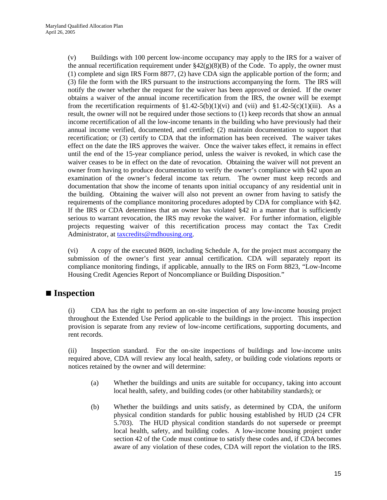(v) Buildings with 100 percent low-income occupancy may apply to the IRS for a waiver of the annual recertification requirement under  $\frac{842(g)(8)}{B}$  of the Code. To apply, the owner must (1) complete and sign IRS Form 8877, (2) have CDA sign the applicable portion of the form; and (3) file the form with the IRS pursuant to the instructions accompanying the form. The IRS will notify the owner whether the request for the waiver has been approved or denied. If the owner obtains a waiver of the annual income recertification from the IRS, the owner will be exempt from the recertification requirments of  $\S1.42-5(b)(1)(vi)$  and  $(vii)$  and  $\S1.42-5(c)(1)(iii)$ . As a result, the owner will not be required under those sections to (1) keep records that show an annual income recertification of all the low-income tenants in the building who have previously had their annual income verified, documented, and certified; (2) maintain documentation to support that recertification; or (3) certify to CDA that the information has been received. The waiver takes effect on the date the IRS approves the waiver. Once the waiver takes effect, it remains in effect until the end of the 15-year compliance period, unless the waiver is revoked, in which case the waiver ceases to be in effect on the date of revocation. Obtaining the waiver will not prevent an owner from having to produce documentation to verify the owner's compliance with §42 upon an examination of the owner's federal income tax return. The owner must keep records and documentation that show the income of tenants upon initial occupancy of any residential unit in the building. Obtaining the waiver will also not prevent an owner from having to satisfy the requirements of the compliance monitoring procedures adopted by CDA for compliance with §42. If the IRS or CDA determines that an owner has violated §42 in a manner that is sufficiently serious to warrant revocation, the IRS may revoke the waiver. For further information, eligible projects requesting waiver of this recertification process may contact the Tax Credit Administrator, at taxcredits@mdhousing.org.

(vi) A copy of the executed 8609, including Schedule A, for the project must accompany the submission of the owner's first year annual certification. CDA will separately report its compliance monitoring findings, if applicable, annually to the IRS on Form 8823, "Low-Income Housing Credit Agencies Report of Noncompliance or Building Disposition."

#### ■ **Inspection**

 (i) CDA has the right to perform an on-site inspection of any low-income housing project throughout the Extended Use Period applicable to the buildings in the project. This inspection provision is separate from any review of low-income certifications, supporting documents, and rent records.

(ii) Inspection standard. For the on-site inspections of buildings and low-income units required above, CDA will review any local health, safety, or building code violations reports or notices retained by the owner and will determine:

- (a) Whether the buildings and units are suitable for occupancy, taking into account local health, safety, and building codes (or other habitability standards); or
- (b) Whether the buildings and units satisfy, as determined by CDA, the uniform physical condition standards for public housing established by HUD (24 CFR 5.703). The HUD physical condition standards do not supersede or preempt local health, safety, and building codes. A low-income housing project under section 42 of the Code must continue to satisfy these codes and, if CDA becomes aware of any violation of these codes, CDA will report the violation to the IRS.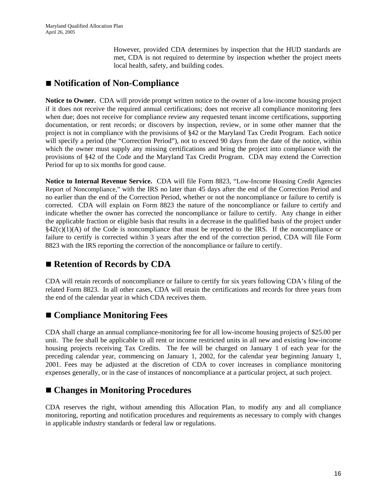However, provided CDA determines by inspection that the HUD standards are met, CDA is not required to determine by inspection whether the project meets local health, safety, and building codes.

#### ■ Notification of Non-Compliance

**Notice to Owner.** CDA will provide prompt written notice to the owner of a low-income housing project if it does not receive the required annual certifications; does not receive all compliance monitoring fees when due; does not receive for compliance review any requested tenant income certifications, supporting documentation, or rent records; or discovers by inspection, review, or in some other manner that the project is not in compliance with the provisions of §42 or the Maryland Tax Credit Program. Each notice will specify a period (the "Correction Period"), not to exceed 90 days from the date of the notice, within which the owner must supply any missing certifications and bring the project into compliance with the provisions of §42 of the Code and the Maryland Tax Credit Program. CDA may extend the Correction Period for up to six months for good cause.

**Notice to Internal Revenue Service.** CDA will file Form 8823, "Low-Income Housing Credit Agencies Report of Noncompliance," with the IRS no later than 45 days after the end of the Correction Period and no earlier than the end of the Correction Period, whether or not the noncompliance or failure to certify is corrected. CDA will explain on Form 8823 the nature of the noncompliance or failure to certify and indicate whether the owner has corrected the noncompliance or failure to certify. Any change in either the applicable fraction or eligible basis that results in a decrease in the qualified basis of the project under  $§42(c)(1)(A)$  of the Code is noncompliance that must be reported to the IRS. If the noncompliance or failure to certify is corrected within 3 years after the end of the correction period, CDA will file Form 8823 with the IRS reporting the correction of the noncompliance or failure to certify.

#### ■ Retention of Records by CDA

CDA will retain records of noncompliance or failure to certify for six years following CDA's filing of the related Form 8823. In all other cases, CDA will retain the certifications and records for three years from the end of the calendar year in which CDA receives them.

#### ■ Compliance Monitoring Fees

CDA shall charge an annual compliance-monitoring fee for all low-income housing projects of \$25.00 per unit. The fee shall be applicable to all rent or income restricted units in all new and existing low-income housing projects receiving Tax Credits. The fee will be charged on January 1 of each year for the preceding calendar year, commencing on January 1, 2002, for the calendar year beginning January 1, 2001. Fees may be adjusted at the discretion of CDA to cover increases in compliance monitoring expenses generally, or in the case of instances of noncompliance at a particular project, at such project.

#### **Changes in Monitoring Procedures**

CDA reserves the right, without amending this Allocation Plan, to modify any and all compliance monitoring, reporting and notification procedures and requirements as necessary to comply with changes in applicable industry standards or federal law or regulations.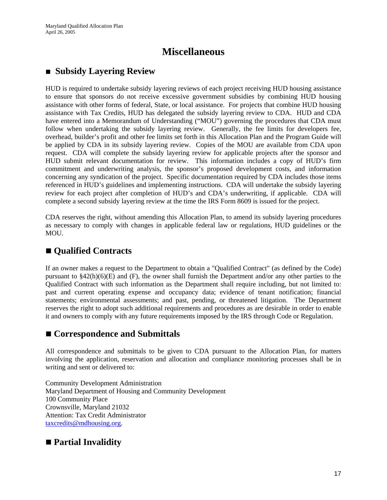### **Miscellaneous**

### **Subsidy Layering Review**

HUD is required to undertake subsidy layering reviews of each project receiving HUD housing assistance to ensure that sponsors do not receive excessive government subsidies by combining HUD housing assistance with other forms of federal, State, or local assistance. For projects that combine HUD housing assistance with Tax Credits, HUD has delegated the subsidy layering review to CDA. HUD and CDA have entered into a Memorandum of Understanding ("MOU") governing the procedures that CDA must follow when undertaking the subsidy layering review. Generally, the fee limits for developers fee, overhead, builder's profit and other fee limits set forth in this Allocation Plan and the Program Guide will be applied by CDA in its subsidy layering review. Copies of the MOU are available from CDA upon request. CDA will complete the subsidy layering review for applicable projects after the sponsor and HUD submit relevant documentation for review. This information includes a copy of HUD's firm commitment and underwriting analysis, the sponsor's proposed development costs, and information concerning any syndication of the project. Specific documentation required by CDA includes those items referenced in HUD's guidelines and implementing instructions. CDA will undertake the subsidy layering review for each project after completion of HUD's and CDA's underwriting, if applicable. CDA will complete a second subsidy layering review at the time the IRS Form 8609 is issued for the project.

CDA reserves the right, without amending this Allocation Plan, to amend its subsidy layering procedures as necessary to comply with changes in applicable federal law or regulations, HUD guidelines or the MOU.

### **Qualified Contracts**

If an owner makes a request to the Department to obtain a "Qualified Contract" (as defined by the Code) pursuant to  $\S42(h)(6)(E)$  and (F), the owner shall furnish the Department and/or any other parties to the Qualified Contract with such information as the Department shall require including, but not limited to: past and current operating expense and occupancy data; evidence of tenant notification; financial statements; environmental assessments; and past, pending, or threatened litigation. The Department reserves the right to adopt such additional requirements and procedures as are desirable in order to enable it and owners to comply with any future requirements imposed by the IRS through Code or Regulation.

#### ■ Correspondence and Submittals

All correspondence and submittals to be given to CDA pursuant to the Allocation Plan, for matters involving the application, reservation and allocation and compliance monitoring processes shall be in writing and sent or delivered to:

Community Development Administration Maryland Department of Housing and Community Development 100 Community Place Crownsville, Maryland 21032 Attention: Tax Credit Administrator taxcredits@mdhousing.org.

### **Partial Invalidity**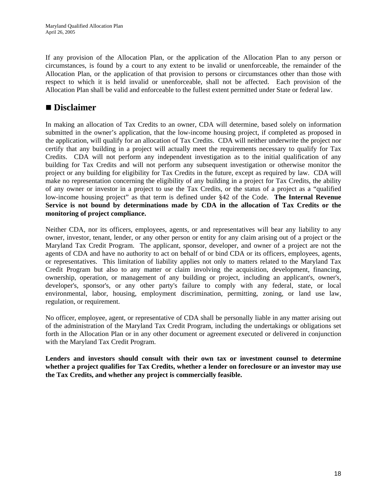If any provision of the Allocation Plan, or the application of the Allocation Plan to any person or circumstances, is found by a court to any extent to be invalid or unenforceable, the remainder of the Allocation Plan, or the application of that provision to persons or circumstances other than those with respect to which it is held invalid or unenforceable, shall not be affected. Each provision of the Allocation Plan shall be valid and enforceable to the fullest extent permitted under State or federal law.

#### **Disclaimer**

In making an allocation of Tax Credits to an owner, CDA will determine, based solely on information submitted in the owner's application, that the low-income housing project, if completed as proposed in the application, will qualify for an allocation of Tax Credits. CDA will neither underwrite the project nor certify that any building in a project will actually meet the requirements necessary to qualify for Tax Credits. CDA will not perform any independent investigation as to the initial qualification of any building for Tax Credits and will not perform any subsequent investigation or otherwise monitor the project or any building for eligibility for Tax Credits in the future, except as required by law. CDA will make no representation concerning the eligibility of any building in a project for Tax Credits, the ability of any owner or investor in a project to use the Tax Credits, or the status of a project as a "qualified low-income housing project" as that term is defined under §42 of the Code. **The Internal Revenue Service is not bound by determinations made by CDA in the allocation of Tax Credits or the monitoring of project compliance.** 

Neither CDA, nor its officers, employees, agents, or and representatives will bear any liability to any owner, investor, tenant, lender, or any other person or entity for any claim arising out of a project or the Maryland Tax Credit Program. The applicant, sponsor, developer, and owner of a project are not the agents of CDA and have no authority to act on behalf of or bind CDA or its officers, employees, agents, or representatives. This limitation of liability applies not only to matters related to the Maryland Tax Credit Program but also to any matter or claim involving the acquisition, development, financing, ownership, operation, or management of any building or project, including an applicant's, owner's, developer's, sponsor's, or any other party's failure to comply with any federal, state, or local environmental, labor, housing, employment discrimination, permitting, zoning, or land use law, regulation, or requirement.

No officer, employee, agent, or representative of CDA shall be personally liable in any matter arising out of the administration of the Maryland Tax Credit Program, including the undertakings or obligations set forth in the Allocation Plan or in any other document or agreement executed or delivered in conjunction with the Maryland Tax Credit Program.

**Lenders and investors should consult with their own tax or investment counsel to determine whether a project qualifies for Tax Credits, whether a lender on foreclosure or an investor may use the Tax Credits, and whether any project is commercially feasible.**